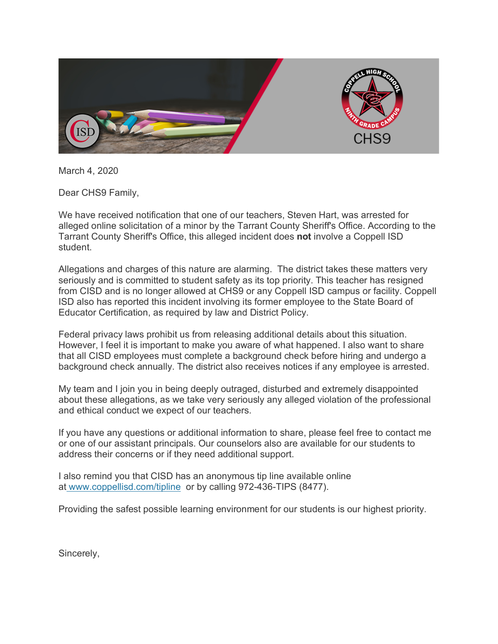

March 4, 2020

Dear CHS9 Family,

We have received notification that one of our teachers, Steven Hart, was arrested for alleged online solicitation of a minor by the Tarrant County Sheriff's Office. According to the Tarrant County Sheriff's Office, this alleged incident does **not** involve a Coppell ISD student.

Allegations and charges of this nature are alarming. The district takes these matters very seriously and is committed to student safety as its top priority. This teacher has resigned from CISD and is no longer allowed at CHS9 or any Coppell ISD campus or facility. Coppell ISD also has reported this incident involving its former employee to the State Board of Educator Certification, as required by law and District Policy.

Federal privacy laws prohibit us from releasing additional details about this situation. However, I feel it is important to make you aware of what happened. I also want to share that all CISD employees must complete a background check before hiring and undergo a background check annually. The district also receives notices if any employee is arrested.

My team and I join you in being deeply outraged, disturbed and extremely disappointed about these allegations, as we take very seriously any alleged violation of the professional and ethical conduct we expect of our teachers.

If you have any questions or additional information to share, please feel free to contact me or one of our assistant principals. Our counselors also are available for our students to address their concerns or if they need additional support.

I also remind you that CISD has an anonymous tip line available online at www.coppellisd.com/tipline or by calling 972-436-TIPS (8477).

Providing the safest possible learning environment for our students is our highest priority.

Sincerely,